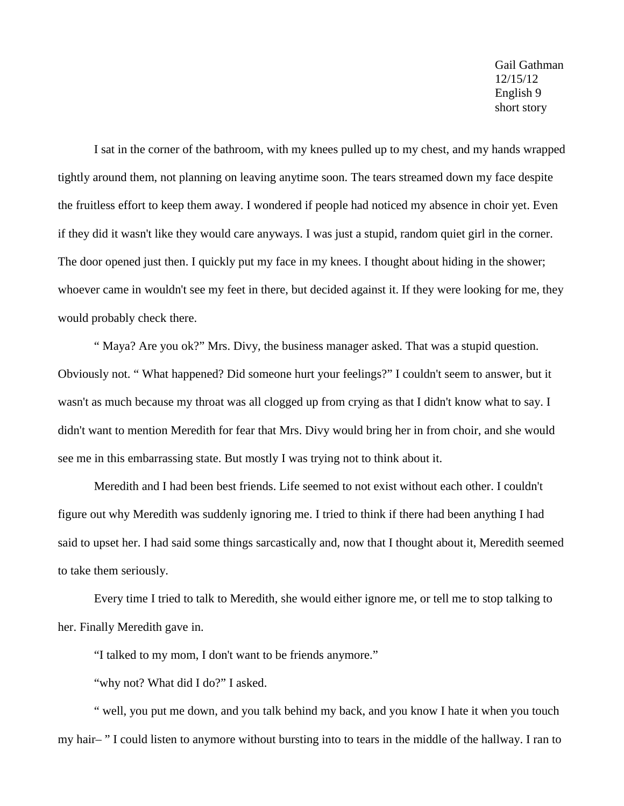Gail Gathman 12/15/12 English 9 short story

I sat in the corner of the bathroom, with my knees pulled up to my chest, and my hands wrapped tightly around them, not planning on leaving anytime soon. The tears streamed down my face despite the fruitless effort to keep them away. I wondered if people had noticed my absence in choir yet. Even if they did it wasn't like they would care anyways. I was just a stupid, random quiet girl in the corner. The door opened just then. I quickly put my face in my knees. I thought about hiding in the shower; whoever came in wouldn't see my feet in there, but decided against it. If they were looking for me, they would probably check there.

" Maya? Are you ok?" Mrs. Divy, the business manager asked. That was a stupid question. Obviously not. " What happened? Did someone hurt your feelings?" I couldn't seem to answer, but it wasn't as much because my throat was all clogged up from crying as that I didn't know what to say. I didn't want to mention Meredith for fear that Mrs. Divy would bring her in from choir, and she would see me in this embarrassing state. But mostly I was trying not to think about it.

Meredith and I had been best friends. Life seemed to not exist without each other. I couldn't figure out why Meredith was suddenly ignoring me. I tried to think if there had been anything I had said to upset her. I had said some things sarcastically and, now that I thought about it, Meredith seemed to take them seriously.

Every time I tried to talk to Meredith, she would either ignore me, or tell me to stop talking to her. Finally Meredith gave in.

"I talked to my mom, I don't want to be friends anymore."

"why not? What did I do?" I asked.

" well, you put me down, and you talk behind my back, and you know I hate it when you touch my hair– " I could listen to anymore without bursting into to tears in the middle of the hallway. I ran to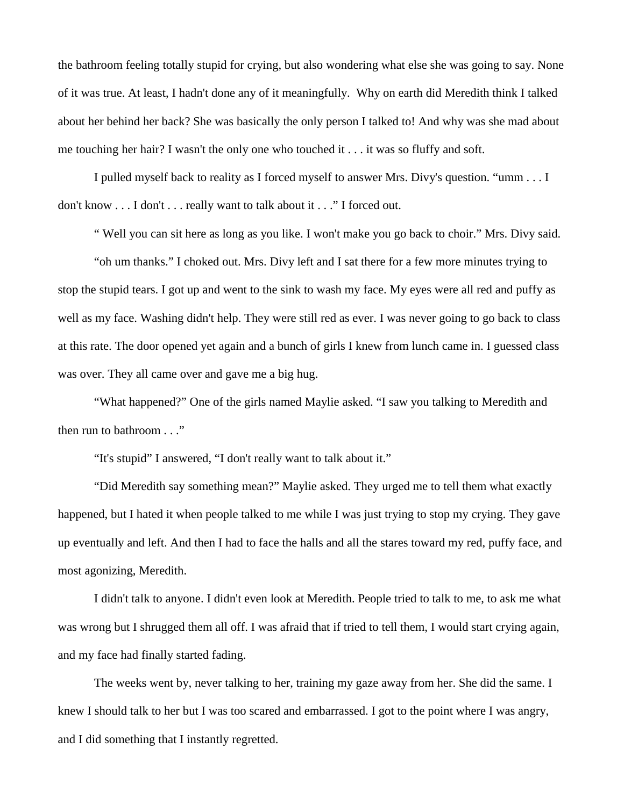the bathroom feeling totally stupid for crying, but also wondering what else she was going to say. None of it was true. At least, I hadn't done any of it meaningfully. Why on earth did Meredith think I talked about her behind her back? She was basically the only person I talked to! And why was she mad about me touching her hair? I wasn't the only one who touched it . . . it was so fluffy and soft.

I pulled myself back to reality as I forced myself to answer Mrs. Divy's question. "umm . . . I don't know . . . I don't . . . really want to talk about it . . ." I forced out.

" Well you can sit here as long as you like. I won't make you go back to choir." Mrs. Divy said.

"oh um thanks." I choked out. Mrs. Divy left and I sat there for a few more minutes trying to stop the stupid tears. I got up and went to the sink to wash my face. My eyes were all red and puffy as well as my face. Washing didn't help. They were still red as ever. I was never going to go back to class at this rate. The door opened yet again and a bunch of girls I knew from lunch came in. I guessed class was over. They all came over and gave me a big hug.

"What happened?" One of the girls named Maylie asked. "I saw you talking to Meredith and then run to bathroom . . ."

"It's stupid" I answered, "I don't really want to talk about it."

"Did Meredith say something mean?" Maylie asked. They urged me to tell them what exactly happened, but I hated it when people talked to me while I was just trying to stop my crying. They gave up eventually and left. And then I had to face the halls and all the stares toward my red, puffy face, and most agonizing, Meredith.

I didn't talk to anyone. I didn't even look at Meredith. People tried to talk to me, to ask me what was wrong but I shrugged them all off. I was afraid that if tried to tell them, I would start crying again, and my face had finally started fading.

The weeks went by, never talking to her, training my gaze away from her. She did the same. I knew I should talk to her but I was too scared and embarrassed. I got to the point where I was angry, and I did something that I instantly regretted.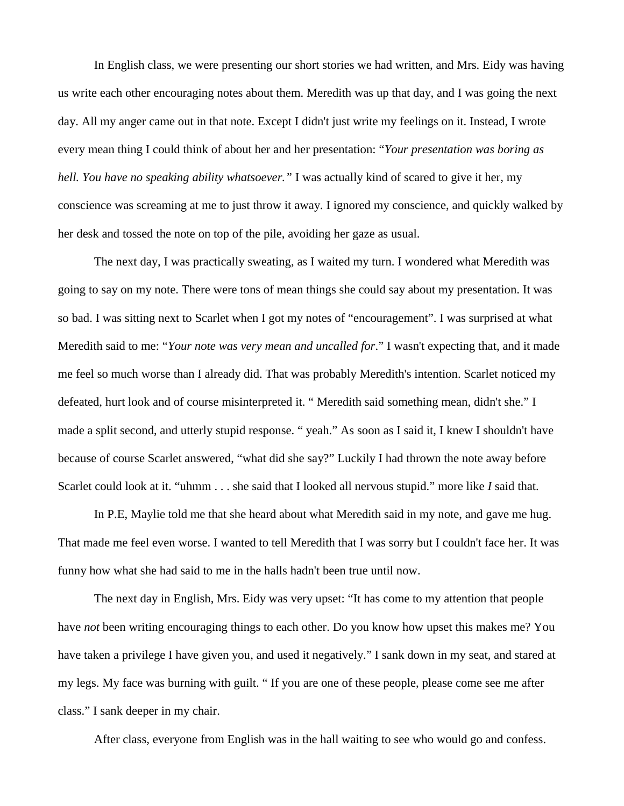In English class, we were presenting our short stories we had written, and Mrs. Eidy was having us write each other encouraging notes about them. Meredith was up that day, and I was going the next day. All my anger came out in that note. Except I didn't just write my feelings on it. Instead, I wrote every mean thing I could think of about her and her presentation: "*Your presentation was boring as hell. You have no speaking ability whatsoever."* I was actually kind of scared to give it her, my conscience was screaming at me to just throw it away. I ignored my conscience, and quickly walked by her desk and tossed the note on top of the pile, avoiding her gaze as usual.

The next day, I was practically sweating, as I waited my turn. I wondered what Meredith was going to say on my note. There were tons of mean things she could say about my presentation. It was so bad. I was sitting next to Scarlet when I got my notes of "encouragement". I was surprised at what Meredith said to me: "*Your note was very mean and uncalled for*." I wasn't expecting that, and it made me feel so much worse than I already did. That was probably Meredith's intention. Scarlet noticed my defeated, hurt look and of course misinterpreted it. " Meredith said something mean, didn't she." I made a split second, and utterly stupid response. " yeah." As soon as I said it, I knew I shouldn't have because of course Scarlet answered, "what did she say?" Luckily I had thrown the note away before Scarlet could look at it. "uhmm . . . she said that I looked all nervous stupid." more like *I* said that.

In P.E, Maylie told me that she heard about what Meredith said in my note, and gave me hug. That made me feel even worse. I wanted to tell Meredith that I was sorry but I couldn't face her. It was funny how what she had said to me in the halls hadn't been true until now.

The next day in English, Mrs. Eidy was very upset: "It has come to my attention that people have *not* been writing encouraging things to each other. Do you know how upset this makes me? You have taken a privilege I have given you, and used it negatively." I sank down in my seat, and stared at my legs. My face was burning with guilt. " If you are one of these people, please come see me after class." I sank deeper in my chair.

After class, everyone from English was in the hall waiting to see who would go and confess.